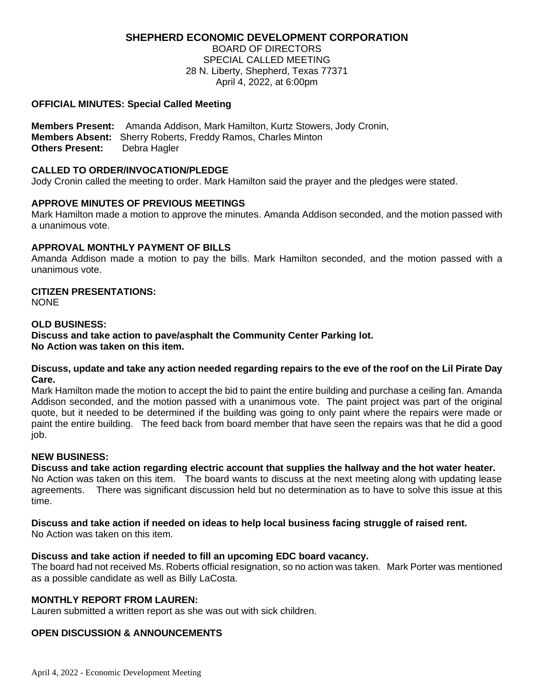# **SHEPHERD ECONOMIC DEVELOPMENT CORPORATION**

BOARD OF DIRECTORS SPECIAL CALLED MEETING 28 N. Liberty, Shepherd, Texas 77371 April 4, 2022, at 6:00pm

### **OFFICIAL MINUTES: Special Called Meeting**

**Members Present:** Amanda Addison, Mark Hamilton, Kurtz Stowers, Jody Cronin, **Members Absent:** Sherry Roberts, Freddy Ramos, Charles Minton **Others Present:** Debra Hagler

#### **CALLED TO ORDER/INVOCATION/PLEDGE**

Jody Cronin called the meeting to order. Mark Hamilton said the prayer and the pledges were stated.

### **APPROVE MINUTES OF PREVIOUS MEETINGS**

Mark Hamilton made a motion to approve the minutes. Amanda Addison seconded, and the motion passed with a unanimous vote.

### **APPROVAL MONTHLY PAYMENT OF BILLS**

Amanda Addison made a motion to pay the bills. Mark Hamilton seconded, and the motion passed with a unanimous vote.

# **CITIZEN PRESENTATIONS:**

NONE

### **OLD BUSINESS:**

**Discuss and take action to pave/asphalt the Community Center Parking lot. No Action was taken on this item.**

#### **Discuss, update and take any action needed regarding repairs to the eve of the roof on the Lil Pirate Day Care.**

Mark Hamilton made the motion to accept the bid to paint the entire building and purchase a ceiling fan. Amanda Addison seconded, and the motion passed with a unanimous vote. The paint project was part of the original quote, but it needed to be determined if the building was going to only paint where the repairs were made or paint the entire building. The feed back from board member that have seen the repairs was that he did a good job.

# **NEW BUSINESS:**

**Discuss and take action regarding electric account that supplies the hallway and the hot water heater.** No Action was taken on this item. The board wants to discuss at the next meeting along with updating lease agreements. There was significant discussion held but no determination as to have to solve this issue at this time.

# **Discuss and take action if needed on ideas to help local business facing struggle of raised rent.**

No Action was taken on this item.

#### **Discuss and take action if needed to fill an upcoming EDC board vacancy.**

The board had not received Ms. Roberts official resignation, so no action was taken. Mark Porter was mentioned as a possible candidate as well as Billy LaCosta.

# **MONTHLY REPORT FROM LAUREN:**

Lauren submitted a written report as she was out with sick children.

# **OPEN DISCUSSION & ANNOUNCEMENTS**